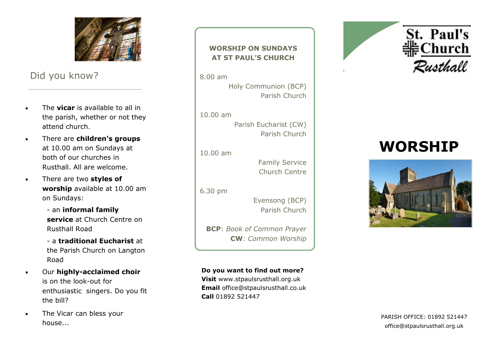

## Did you know?

- The **vicar** is available to all in the parish, whether or not they attend church.
- There are **children's groups**  at 10.00 am on Sundays at both of our churches in Rusthall. All are welcome.
- There are two **styles of worship** available at 10.00 am on Sundays: - an **informal family** 
	- **service** at Church Centre on Rusthall Road
	- a **traditional Eucharist** at the Parish Church on Langton Road
- **•** Our highly-acclaimed choir is on the look -out for enthusiastic singers. Do you fit the bill?
- The Vicar can bless your house...

### **WORSHIP ON SUNDAYS AT ST PAUL'S CHURCH**

8.00 am

Holy Communion (BCP) Parish Church

10.00 am

Parish Eucharist (CW) Parish Church

10.00 am

Family Service Church Centre

6.30 pm

Evensong (BCP) Parish Church

**BCP**: *Book of Common Prayer* **CW**: *Common Worship*

**Do you want to find out more? Visit** www.stpaulsrusthall.org.uk **Email** office@stpaulsrusthall.co.uk **Call** 01892 521447





# **WORSHIP**